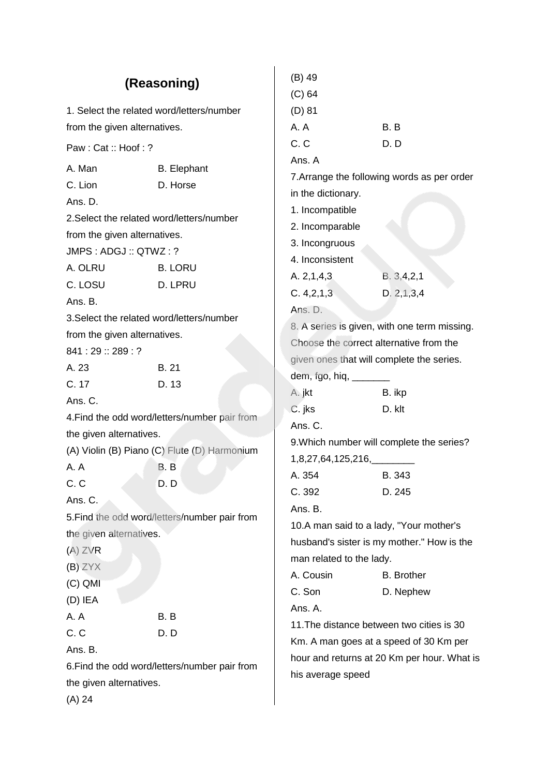| (Reasoning)                               |                                               | $(B)$ 49<br>$(C)$ 64                         |                                             |  |
|-------------------------------------------|-----------------------------------------------|----------------------------------------------|---------------------------------------------|--|
| 1. Select the related word/letters/number |                                               | $(D)$ 81                                     |                                             |  |
| from the given alternatives.              |                                               | A.A                                          | B. B                                        |  |
| Paw: Cat:: Hoof:?                         |                                               | C. C                                         | D.D                                         |  |
| A. Man                                    | <b>B.</b> Elephant                            | Ans. A                                       |                                             |  |
| C. Lion                                   | D. Horse                                      |                                              | 7. Arrange the following words as per order |  |
| Ans. D.                                   |                                               | in the dictionary.                           |                                             |  |
| 2. Select the related word/letters/number |                                               | 1. Incompatible                              |                                             |  |
| from the given alternatives.              |                                               | 2. Incomparable                              |                                             |  |
| JMPS: ADGJ:: QTWZ: ?                      |                                               | 3. Incongruous                               |                                             |  |
| A. OLRU                                   | <b>B. LORU</b>                                | 4. Inconsistent                              |                                             |  |
| C. LOSU                                   | D. LPRU                                       | A. 2, 1, 4, 3                                | B. 3, 4, 2, 1                               |  |
| Ans. B.                                   |                                               | C. 4, 2, 1, 3                                | D. 2, 1, 3, 4                               |  |
| 3. Select the related word/letters/number |                                               | Ans. D.                                      |                                             |  |
| from the given alternatives.              |                                               | 8. A series is given, with one term missing. |                                             |  |
| 841:29::289:?                             |                                               | Choose the correct alternative from the      |                                             |  |
| A. 23<br><b>B.21</b>                      |                                               | given ones that will complete the series.    |                                             |  |
| C. 17                                     | D. 13                                         | dem, fgo, hiq, _______                       |                                             |  |
| Ans. C.                                   |                                               | A. jkt                                       | B. ikp                                      |  |
|                                           | 4. Find the odd word/letters/number pair from | C. jks                                       | D. klt                                      |  |
| the given alternatives.                   |                                               | Ans. C.                                      |                                             |  |
|                                           | (A) Violin (B) Piano (C) Flute (D) Harmonium  | 9. Which number will complete the series?    |                                             |  |
| A. A                                      | B.B                                           | 1,8,27,64,125,216,                           |                                             |  |
| C.C                                       | D.D                                           | A. 354                                       | B. 343                                      |  |
| Ans. C.                                   |                                               | C. 392                                       | D. 245                                      |  |
|                                           | 5. Find the odd word/letters/number pair from | Ans. B.                                      |                                             |  |
| the given alternatives.                   |                                               | 10.A man said to a lady, "Your mother's      |                                             |  |
| $(A)$ ZVR                                 |                                               | husband's sister is my mother." How is the   |                                             |  |
| $(B)$ ZYX                                 |                                               | man related to the lady.                     |                                             |  |
| $(C)$ QMI                                 |                                               | A. Cousin                                    | <b>B.</b> Brother                           |  |
| $(D)$ IEA                                 |                                               | C. Son                                       | D. Nephew                                   |  |
| A.A                                       | B.B                                           | Ans. A.                                      |                                             |  |
| C.C                                       | D.D                                           |                                              | 11. The distance between two cities is 30   |  |
| Ans. B.                                   |                                               | Km. A man goes at a speed of 30 Km per       |                                             |  |
|                                           | 6. Find the odd word/letters/number pair from |                                              | hour and returns at 20 Km per hour. What is |  |
| the given alternatives.                   |                                               | his average speed                            |                                             |  |
| $(A)$ 24                                  |                                               |                                              |                                             |  |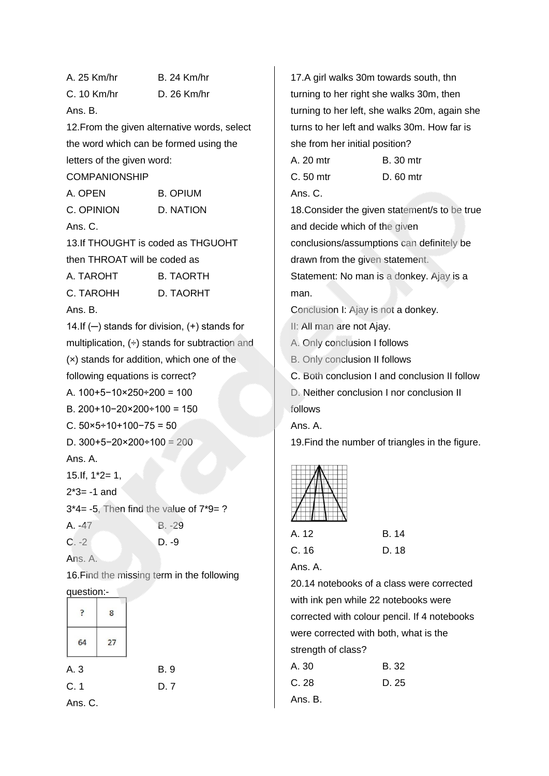A. 25 Km/hr B. 24 Km/hr C. 10 Km/hr D. 26 Km/hr Ans. B. 12.From the given alternative words, select the word which can be formed using the letters of the given word: COMPANIONSHIP A. OPEN B. OPIUM C. OPINION D. NATION Ans. C. 13.If THOUGHT is coded as THGUOHT then THROAT will be coded as A. TAROHT B. TAORTH C. TAROHH D. TAORHT Ans. B. 14.If (─) stands for division, (+) stands for multiplication,  $(+)$  stands for subtraction and (×) stands for addition, which one of the following equations is correct? A. 100+5−10×250÷200 = 100 B. 200+10−20×200÷100 = 150 C.  $50 \times 5 \div 10 \div 100 - 75 = 50$ D.  $300+5-20\times200+100 = 200$ Ans. A.  $15.$  If,  $1*2=1$ ,  $2*3 = -1$  and 3\*4= -5, Then find the value of 7\*9= ? A. -47 B. -29  $C. -2$  D. -9 Ans. A. 16.Find the missing term in the following question:-  $\overline{P}$ 8 64  $27$ A. 3 B. 9 C. 1 D. 7 Ans. C.

17.A girl walks 30m towards south, thn turning to her right she walks 30m, then turning to her left, she walks 20m, again she turns to her left and walks 30m. How far is she from her initial position? A. 20 mtr B. 30 mtr C. 50 mtr D. 60 mtr Ans. C. 18.Consider the given statement/s to be true and decide which of the given conclusions/assumptions can definitely be drawn from the given statement. Statement: No man is a donkey. Ajay is a man. Conclusion I: Ajay is not a donkey. II: All man are not Ajay. A. Only conclusion I follows B. Only conclusion II follows C. Both conclusion I and conclusion II follow D. Neither conclusion I nor conclusion II follows Ans. A. 19.Find the number of triangles in the figure. A. 12 B. 14 C. 16 D. 18 Ans. A. 20.14 notebooks of a class were corrected with ink pen while 22 notebooks were corrected with colour pencil. If 4 notebooks were corrected with both, what is the

strength of class?

| A. 30   | B. 32 |
|---------|-------|
| C. 28   | D. 25 |
| Ans. B. |       |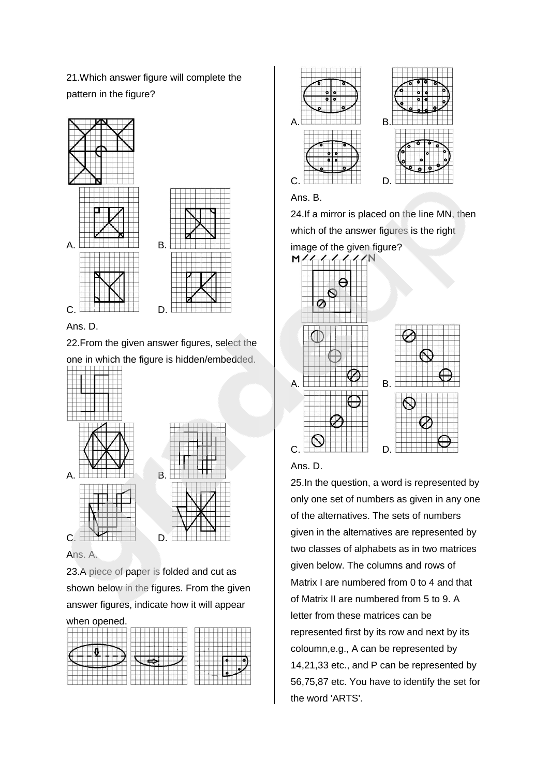21.Which answer figure will complete the pattern in the figure?





22.From the given answer figures, select the

one in which the figure is hidden/embedded.



Ans. A.

23.A piece of paper is folded and cut as shown below in the figures. From the given answer figures, indicate how it will appear

#### when opened.





### Ans. B.

24.If a mirror is placed on the line MN, then which of the answer figures is the right





25.In the question, a word is represented by only one set of numbers as given in any one of the alternatives. The sets of numbers given in the alternatives are represented by two classes of alphabets as in two matrices given below. The columns and rows of Matrix I are numbered from 0 to 4 and that of Matrix II are numbered from 5 to 9. A letter from these matrices can be represented first by its row and next by its coloumn,e.g., A can be represented by 14,21,33 etc., and P can be represented by 56,75,87 etc. You have to identify the set for the word 'ARTS'.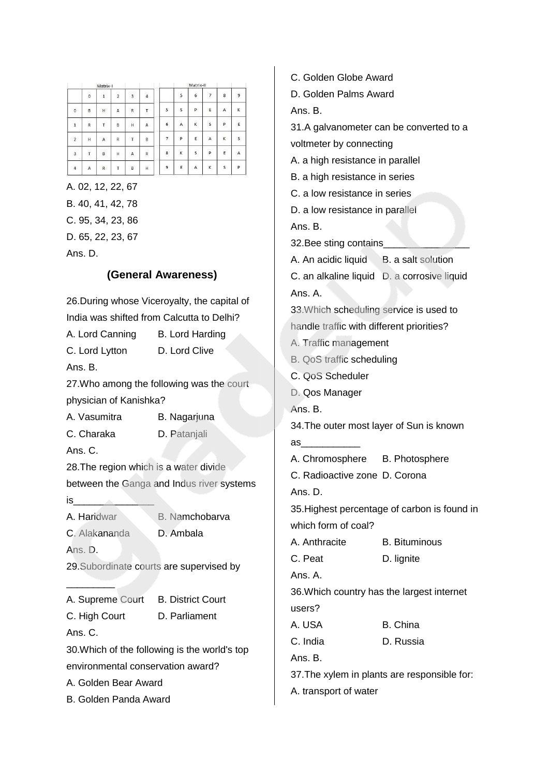|                |                   | Matrix-I           |                |                |                   |        |                | Matrix-II      |                |              |        |
|----------------|-------------------|--------------------|----------------|----------------|-------------------|--------|----------------|----------------|----------------|--------------|--------|
|                | $\ddot{\text{o}}$ | b.<br>$\mathbf{1}$ | $\overline{2}$ | $\overline{3}$ | $\overline{4}$    |        | 5              | 6              | $\overline{7}$ | 8            | $\,$ 9 |
| $\circ$        | B                 | H                  | A              | R              | $\mathsf{T}$      | 5      | s              | p              | ε              | A            | к      |
| $\mathbf{1}$   | R                 | T                  | B              | н              | A                 | 6      | $\overline{A}$ | <b>OV</b><br>K | s              | $\mathbf{p}$ | E      |
| $\overline{2}$ | H                 | A                  | $\ddot{R}$     | т              | B                 | 7      | p              | E              | А              | K            | S      |
| 3              | T                 | B                  | H              | A              | R                 | ×<br>8 | K              | st.<br>s       | P              | E            | A      |
| $\overline{4}$ | A                 | $\mathbf R$        | T              | tena<br>B      | <b>SOCIA</b><br>н | 9      | E              | n sa<br>A      | K              | s            | p      |

A. 02, 12, 22, 67 B. 40, 41, 42, 78 C. 95, 34, 23, 86 D. 65, 22, 23, 67 Ans. D.

## **(General Awareness)**

| 26. During whose Viceroyalty, the capital of                                                                                |                                           |  |  |  |
|-----------------------------------------------------------------------------------------------------------------------------|-------------------------------------------|--|--|--|
| India was shifted from Calcutta to Delhi?                                                                                   |                                           |  |  |  |
| A. Lord Canning B. Lord Harding                                                                                             |                                           |  |  |  |
| C. Lord Lytton D. Lord Clive                                                                                                |                                           |  |  |  |
| Ans. B.                                                                                                                     |                                           |  |  |  |
|                                                                                                                             | 27. Who among the following was the court |  |  |  |
| physician of Kanishka?                                                                                                      |                                           |  |  |  |
| A. Vasumitra                                                                                                                | B. Nagarjuna                              |  |  |  |
| C. Charaka                                                                                                                  | D. Patanjali                              |  |  |  |
| Ans. C.                                                                                                                     |                                           |  |  |  |
| 28. The region which is a water divide                                                                                      |                                           |  |  |  |
|                                                                                                                             | between the Ganga and Indus river systems |  |  |  |
| $is$ . The set of $\sim$ 100 $\sim$ 100 $\sim$ 100 $\sim$ 100 $\sim$ 100 $\sim$ 100 $\sim$ 100 $\sim$ 100 $\sim$ 100 $\sim$ |                                           |  |  |  |
| A. Haridwar                                                                                                                 | B. Namchobarva                            |  |  |  |
| C. Alakananda                                                                                                               | D. Ambala                                 |  |  |  |
| Ans. D.                                                                                                                     |                                           |  |  |  |
| 29. Subordinate courts are supervised by                                                                                    |                                           |  |  |  |
|                                                                                                                             |                                           |  |  |  |
| A. Supreme Court B. District Court                                                                                          |                                           |  |  |  |
| C. High Court                                                                                                               | D. Parliament                             |  |  |  |
| Ans. C.                                                                                                                     |                                           |  |  |  |
| 30. Which of the following is the world's top                                                                               |                                           |  |  |  |
| environmental conservation award?                                                                                           |                                           |  |  |  |
| A. Golden Bear Award                                                                                                        |                                           |  |  |  |
| <b>B. Golden Panda Award</b>                                                                                                |                                           |  |  |  |

C. Golden Globe Award D. Golden Palms Award Ans. B. 31.A galvanometer can be converted to a voltmeter by connecting A. a high resistance in parallel B. a high resistance in series C. a low resistance in series D. a low resistance in parallel Ans. B. 32.Bee sting contains\_\_\_\_\_\_\_\_\_\_\_\_\_\_\_\_ A. An acidic liquid B. a salt solution C. an alkaline liquid D. a corrosive liquid Ans. A. 33.Which scheduling service is used to handle traffic with different priorities? A. Traffic management B. QoS traffic scheduling C. QoS Scheduler D. Qos Manager Ans. B. 34.The outer most layer of Sun is known as\_\_\_\_\_\_\_\_\_\_\_ A. Chromosphere B. Photosphere C. Radioactive zone D. Corona Ans. D. 35.Highest percentage of carbon is found in which form of coal? A. Anthracite B. Bituminous C. Peat D. lignite Ans. A. 36.Which country has the largest internet users? A. USA B. China C. India D. Russia Ans. B. 37.The xylem in plants are responsible for: A. transport of water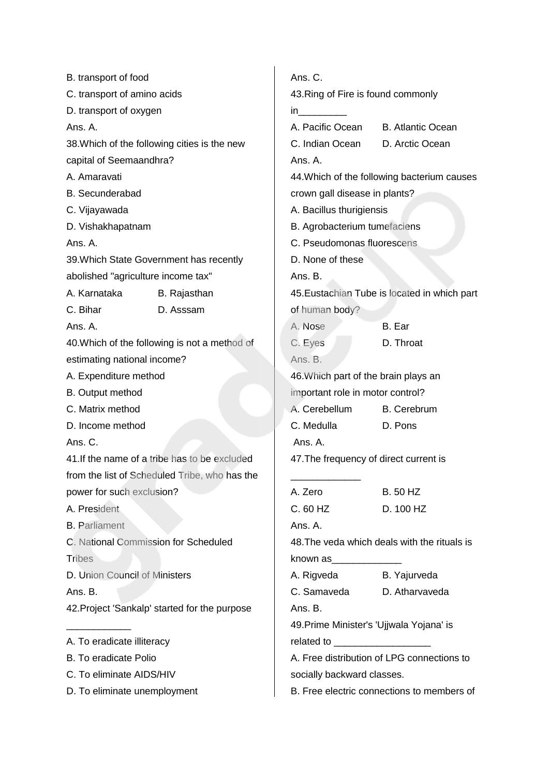| B. transport of food                          | Ans. C.                                       |                                          |                                                                                                                  |                                              |  |  |
|-----------------------------------------------|-----------------------------------------------|------------------------------------------|------------------------------------------------------------------------------------------------------------------|----------------------------------------------|--|--|
| C. transport of amino acids                   |                                               | 43. Ring of Fire is found commonly       |                                                                                                                  |                                              |  |  |
| D. transport of oxygen                        |                                               | in.                                      |                                                                                                                  |                                              |  |  |
| Ans. A.                                       | A. Pacific Ocean                              |                                          | <b>B.</b> Atlantic Ocean                                                                                         |                                              |  |  |
|                                               | 38. Which of the following cities is the new  | C. Indian Ocean                          |                                                                                                                  | D. Arctic Ocean                              |  |  |
| capital of Seemaandhra?                       |                                               | Ans. A.                                  |                                                                                                                  |                                              |  |  |
| A. Amaravati                                  |                                               |                                          | 44. Which of the following bacterium causes                                                                      |                                              |  |  |
| <b>B.</b> Secunderabad                        |                                               |                                          |                                                                                                                  | crown gall disease in plants?                |  |  |
| C. Vijayawada                                 |                                               | A. Bacillus thurigiensis                 |                                                                                                                  |                                              |  |  |
| D. Vishakhapatnam                             |                                               |                                          |                                                                                                                  | B. Agrobacterium tumefaciens                 |  |  |
| Ans. A.                                       |                                               |                                          |                                                                                                                  | C. Pseudomonas fluorescens                   |  |  |
|                                               | 39. Which State Government has recently       | D. None of these                         |                                                                                                                  |                                              |  |  |
| abolished "agriculture income tax"            |                                               | Ans. B.                                  |                                                                                                                  |                                              |  |  |
| A. Karnataka                                  | B. Rajasthan                                  |                                          |                                                                                                                  | 45. Eustachian Tube is located in which part |  |  |
| C. Bihar                                      | D. Asssam                                     | of human body?                           |                                                                                                                  |                                              |  |  |
| Ans. A.                                       |                                               | A. Nose                                  |                                                                                                                  | B. Ear                                       |  |  |
|                                               | 40. Which of the following is not a method of | C. Eyes                                  |                                                                                                                  | D. Throat                                    |  |  |
| estimating national income?                   |                                               | Ans. B.                                  |                                                                                                                  |                                              |  |  |
| A. Expenditure method                         |                                               |                                          |                                                                                                                  | 46. Which part of the brain plays an         |  |  |
| <b>B.</b> Output method                       |                                               |                                          |                                                                                                                  | important role in motor control?             |  |  |
| C. Matrix method                              |                                               | A. Cerebellum                            |                                                                                                                  | <b>B.</b> Cerebrum                           |  |  |
| D. Income method                              |                                               | C. Medulla                               |                                                                                                                  | D. Pons                                      |  |  |
| Ans. C.                                       |                                               | Ans. A.                                  |                                                                                                                  |                                              |  |  |
|                                               | 41. If the name of a tribe has to be excluded |                                          |                                                                                                                  | 47. The frequency of direct current is       |  |  |
|                                               | from the list of Scheduled Tribe, who has the |                                          |                                                                                                                  |                                              |  |  |
| power for such exclusion?                     |                                               | A. Zero                                  |                                                                                                                  | <b>B.</b> 50 HZ                              |  |  |
| A. President                                  |                                               | C. 60 HZ                                 |                                                                                                                  | D. 100 HZ                                    |  |  |
| <b>B.</b> Parliament                          |                                               | Ans. A.                                  |                                                                                                                  |                                              |  |  |
| C. National Commission for Scheduled          |                                               |                                          |                                                                                                                  | 48. The veda which deals with the rituals is |  |  |
| <b>Tribes</b>                                 |                                               |                                          | known as the control of the control of the control of the control of the control of the control of the control o |                                              |  |  |
| D. Union Council of Ministers                 |                                               | A. Rigveda                               |                                                                                                                  | B. Yajurveda                                 |  |  |
| Ans. B.                                       |                                               | C. Samaveda                              |                                                                                                                  | D. Atharvaveda                               |  |  |
| 42. Project 'Sankalp' started for the purpose | Ans. B.                                       |                                          |                                                                                                                  |                                              |  |  |
|                                               |                                               | 49. Prime Minister's 'Ujjwala Yojana' is |                                                                                                                  |                                              |  |  |
| A. To eradicate illiteracy                    | related to ____________________               |                                          |                                                                                                                  |                                              |  |  |
| <b>B.</b> To eradicate Polio                  |                                               |                                          | A. Free distribution of LPG connections to                                                                       |                                              |  |  |
| C. To eliminate AIDS/HIV                      |                                               | socially backward classes.               |                                                                                                                  |                                              |  |  |
| D. To eliminate unemployment                  | B. Free electric connections to members of    |                                          |                                                                                                                  |                                              |  |  |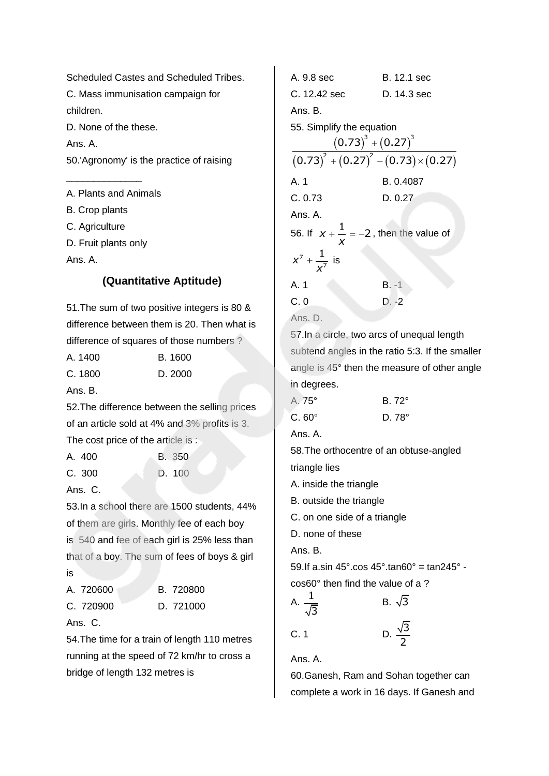Scheduled Castes and Scheduled Tribes. C. Mass immunisation campaign for children. D. None of the these. Ans. A.

50.'Agronomy' is the practice of raising

A. Plants and Animals B. Crop plants C. Agriculture

D. Fruit plants only

\_\_\_\_\_\_\_\_\_\_\_\_\_\_

Ans. A.

# **(Quantitative Aptitude)**

51.The sum of two positive integers is 80 & difference between them is 20. Then what is difference of squares of those numbers ?

| A. 1400 | <b>B.</b> 1600 |
|---------|----------------|
|         |                |

| C. 1800 | D. 2000 |
|---------|---------|
|         |         |

Ans. B.

52.The difference between the selling prices of an article sold at 4% and 3% profits is 3. The cost price of the article is :

A. 400 B. 350 C. 300 D. 100

Ans. C.

53.In a school there are 1500 students, 44% of them are girls. Monthly fee of each boy is 540 and fee of each girl is 25% less than that of a boy. The sum of fees of boys & girl is

| A. 720600 |  | B. 720800 |
|-----------|--|-----------|
| C. 720900 |  | D. 721000 |

Ans. C.

54.The time for a train of length 110 metres

running at the speed of 72 km/hr to cross a bridge of length 132 metres is

A. 9.8 sec B. 12.1 sec C. 12.42 sec D. 14.3 sec Ans. B. 55. Simplify the equation fy the equation $\big(0.73\big)^{\!3}+\big(0.27\big)^{\!3}$  $\frac{(0.73) + (0.27)}{(0.73)^2 + (0.27)^2 - (0.73) \times (0.27)}$ A. 1 B. 0.4087 C. 0.73 D. 0.27 Ans. A. 56. If  $x + \frac{1}{x} = -2$ *x*  $+$   $\dot{-}$  = -2, then the value of 7 7  $x^7 + \frac{1}{x^7}$ *x*  $+\frac{1}{\sqrt{2}}$  is A. 1 B. -1 C. 0 D. -2 Ans. D.

57.In a circle, two arcs of unequal length subtend angles in the ratio 5:3. If the smaller angle is 45° then the measure of other angle in degrees.

| A. 75°       | $B.72^\circ$  |
|--------------|---------------|
| $C.60^\circ$ | D. $78^\circ$ |

Ans. A.

58.The orthocentre of an obtuse-angled

triangle lies

A. inside the triangle

B. outside the triangle

C. on one side of a triangle

D. none of these

Ans. B.

59. If a.sin  $45^\circ$  cos  $45^\circ$  tan $60^\circ$  = tan $245^\circ$  cos60° then find the value of a ?

A. 
$$
\frac{1}{\sqrt{3}}
$$
  
B.  $\sqrt{3}$   
C. 1  
D.  $\frac{\sqrt{3}}{3}$ 

Ans. A.

60.Ganesh, Ram and Sohan together can complete a work in 16 days. If Ganesh and

2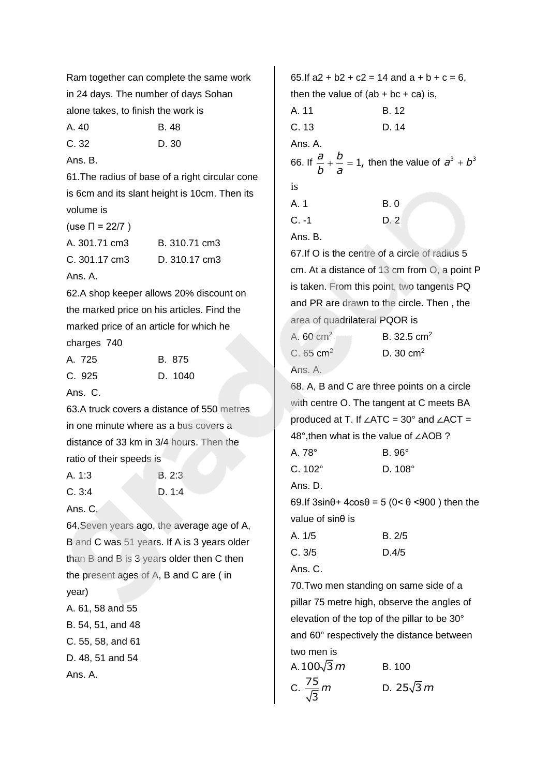Ram together can complete the same work in 24 days. The number of days Sohan alone takes, to finish the work is

A. 40 B. 48

C. 32 D. 30

Ans. B.

61.The radius of base of a right circular cone is 6cm and its slant height is 10cm. Then its volume is

| (use $\Pi = 22/7$ )     |               |
|-------------------------|---------------|
| A. 301.71 cm3           | B. 310.71 cm3 |
| $C.301.17 \text{ cm}$ 3 | D. 310.17 cm3 |
| Ans. A.                 |               |

62.A shop keeper allows 20% discount on the marked price on his articles. Find the marked price of an article for which he charges 740

| A. 725 | B. 875  |
|--------|---------|
| C. 925 | D. 1040 |

Ans. C.

63.A truck covers a distance of 550 metres in one minute where as a bus covers a distance of 33 km in 3/4 hours. Then the ratio of their speeds is

| A. 1:3 | B.2:3  |
|--------|--------|
| C.3:4  | D. 1:4 |

#### Ans. C.

64.Seven years ago, the average age of A, B and C was 51 years. If A is 3 years older than B and B is 3 years older then C then the present ages of A, B and C are ( in year) A. 61, 58 and 55 B. 54, 51, and 48 C. 55, 58, and 61 D. 48, 51 and 54

Ans. A.

65. If  $a2 + b2 + c2 = 14$  and  $a + b + c = 6$ . then the value of  $(ab + bc + ca)$  is, A. 11 B. 12 C. 13 D. 14 Ans. A. 66. If  $\frac{a}{b} + \frac{b}{c} = 1$ , *b a*  $t + \frac{b}{b} = 1$ , then the value of  $a^3 + b^3$ is A. 1 B. 0  $C -1$  D. 2 Ans. B. 67.If O is the centre of a circle of radius 5 cm. At a distance of 13 cm from O, a point P is taken. From this point, two tangents PQ and PR are drawn to the circle. Then , the

area of quadrilateral PQOR is A.  $60 \text{ cm}^2$  B. 32.5 cm<sup>2</sup> C.  $65 \text{ cm}^2$  D. 30 cm<sup>2</sup>

## Ans. A.

68. A, B and C are three points on a circle with centre O. The tangent at C meets BA produced at T. If ∠ATC = 30° and ∠ACT = 48°,then what is the value of ∠AOB ? A. 78° B. 96° C. 102° D. 108° Ans. D. 69.If  $3\sin\theta$  +  $4\cos\theta$  = 5 (0 <  $\theta$  < 900 ) then the value of sinθ is A. 1/5 B. 2/5 C. 3/5 D.4/5

Ans. C.

70.Two men standing on same side of a pillar 75 metre high, observe the angles of elevation of the top of the pillar to be 30° and 60° respectively the distance between two men is

| A.100 $\sqrt{3}$ $m$      | B.100              |
|---------------------------|--------------------|
| C. $\frac{75}{\sqrt{3}}m$ | D. 25 $\sqrt{3}$ m |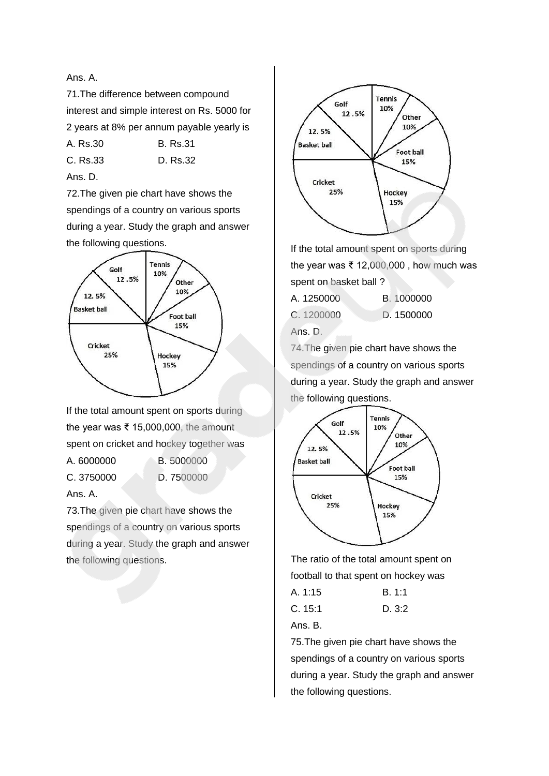#### Ans. A.

71.The difference between compound interest and simple interest on Rs. 5000 for 2 years at 8% per annum payable yearly is

- A. Rs.30 B. Rs.31
- C. Rs.33 D. Rs.32

Ans. D.

72.The given pie chart have shows the spendings of a country on various sports during a year. Study the graph and answer the following questions.



If the total amount spent on sports during the year was ₹ 15,000,000, the amount spent on cricket and hockey together was A. 6000000 B. 5000000

C. 3750000 D. 7500000

Ans. A.

73.The given pie chart have shows the spendings of a country on various sports during a year. Study the graph and answer the following questions.



If the total amount spent on sports during the year was ₹ 12,000,000 , how much was spent on basket ball ?

| A. 1250000 | B. 1000000 |
|------------|------------|
| C. 1200000 | D. 1500000 |

Ans. D.

74.The given pie chart have shows the spendings of a country on various sports during a year. Study the graph and answer the following questions.



The ratio of the total amount spent on football to that spent on hockey was

| B. 1:1 |
|--------|
|        |

| C. 15:1 | D.3:2 |
|---------|-------|
|         |       |

Ans. B.

75.The given pie chart have shows the spendings of a country on various sports during a year. Study the graph and answer the following questions.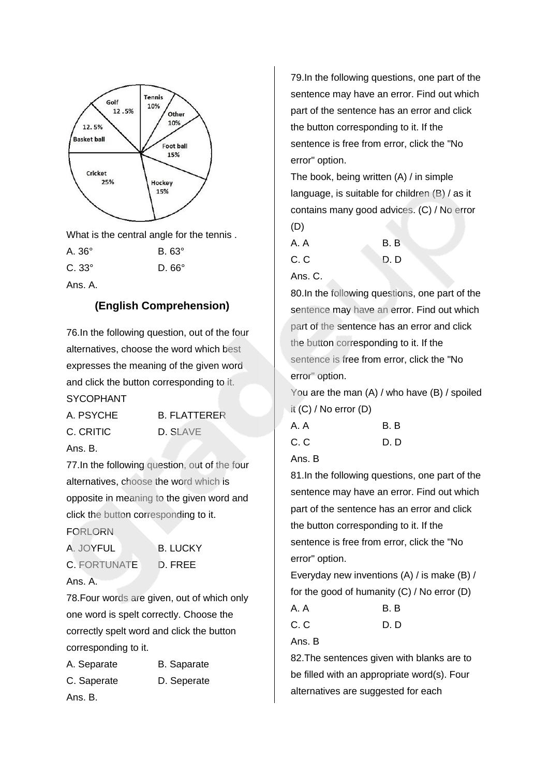

What is the central angle for the tennis .

| A. 36°       | $B.63^\circ$    |
|--------------|-----------------|
| C. 33°       | D. $66^{\circ}$ |
| $\mathbf{A}$ |                 |

Ans. A.

# **(English Comprehension)**

76.In the following question, out of the four alternatives, choose the word which best expresses the meaning of the given word and click the button corresponding to it. SYCOPHANT

| A. PSYCHE | <b>B. FLATTERER</b> |
|-----------|---------------------|
| C. CRITIC | D. SLAVE            |
| Ans. B.   |                     |

77.In the following question, out of the four alternatives, choose the word which is opposite in meaning to the given word and click the button corresponding to it. FORLORN

| A. JOYFUL   |
|-------------|
| C. FORTUNAT |

**B. LUCKY** 

Ans. A.

E. D. FREE

78.Four words are given, out of which only one word is spelt correctly. Choose the correctly spelt word and click the button corresponding to it.

| A. Separate | <b>B.</b> Saparate |
|-------------|--------------------|
| C. Saperate | D. Seperate        |
| Ans. B.     |                    |

79.In the following questions, one part of the sentence may have an error. Find out which part of the sentence has an error and click the button corresponding to it. If the sentence is free from error, click the "No error" option.

The book, being written (A) / in simple language, is suitable for children (B) / as it contains many good advices. (C) / No error (D)

| A. A    | B. B |
|---------|------|
| C.C     | D. D |
| Ans. C. |      |

80.In the following questions, one part of the sentence may have an error. Find out which part of the sentence has an error and click the button corresponding to it. If the sentence is free from error, click the "No error" option.

You are the man (A) / who have (B) / spoiled it (C) / No error (D)

| A. A | B.B  |
|------|------|
| C.C  | D. D |

Ans. B

81.In the following questions, one part of the sentence may have an error. Find out which part of the sentence has an error and click the button corresponding to it. If the sentence is free from error, click the "No error" option.

Everyday new inventions (A) / is make (B) / for the good of humanity (C) / No error (D) A. A B. B

C. C D. D

Ans. B

82.The sentences given with blanks are to be filled with an appropriate word(s). Four alternatives are suggested for each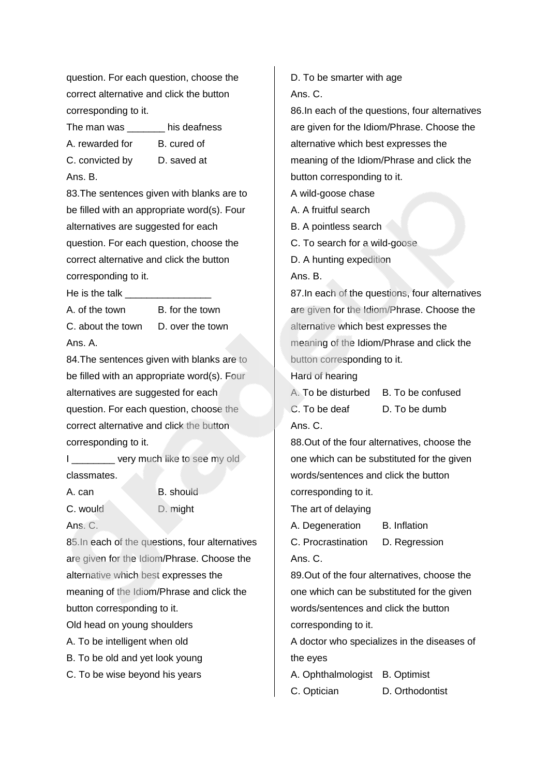question. For each question, choose the correct alternative and click the button corresponding to it.

The man was his deafness

A. rewarded for B. cured of

C. convicted by D. saved at Ans. B.

83.The sentences given with blanks are to be filled with an appropriate word(s). Four alternatives are suggested for each question. For each question, choose the correct alternative and click the button corresponding to it.

He is the talk  $\Box$ 

Ans. A.

A. of the town B. for the town C. about the town D. over the town

84.The sentences given with blanks are to be filled with an appropriate word(s). Four alternatives are suggested for each question. For each question, choose the correct alternative and click the button corresponding to it.

I very much like to see my old classmates.

A. can B. should C. would D. might Ans. C.

85.In each of the questions, four alternatives are given for the Idiom/Phrase. Choose the alternative which best expresses the meaning of the Idiom/Phrase and click the button corresponding to it.

Old head on young shoulders

- A. To be intelligent when old
- B. To be old and yet look young
- C. To be wise beyond his years

D. To be smarter with age Ans. C.

86.In each of the questions, four alternatives are given for the Idiom/Phrase. Choose the alternative which best expresses the meaning of the Idiom/Phrase and click the button corresponding to it.

A wild-goose chase

- A. A fruitful search
- B. A pointless search
- C. To search for a wild-goose
- D. A hunting expedition

Ans. B.

87.In each of the questions, four alternatives are given for the Idiom/Phrase. Choose the alternative which best expresses the meaning of the Idiom/Phrase and click the button corresponding to it.

Hard of hearing

A. To be disturbed B. To be confused

C. To be deaf D. To be dumb

Ans. C.

88.Out of the four alternatives, choose the one which can be substituted for the given words/sentences and click the button corresponding to it.

The art of delaying

A. Degeneration B. Inflation

C. Procrastination D. Regression Ans. C.

89.Out of the four alternatives, choose the one which can be substituted for the given words/sentences and click the button corresponding to it.

A doctor who specializes in the diseases of the eyes

A. Ophthalmologist B. Optimist

C. Optician D. Orthodontist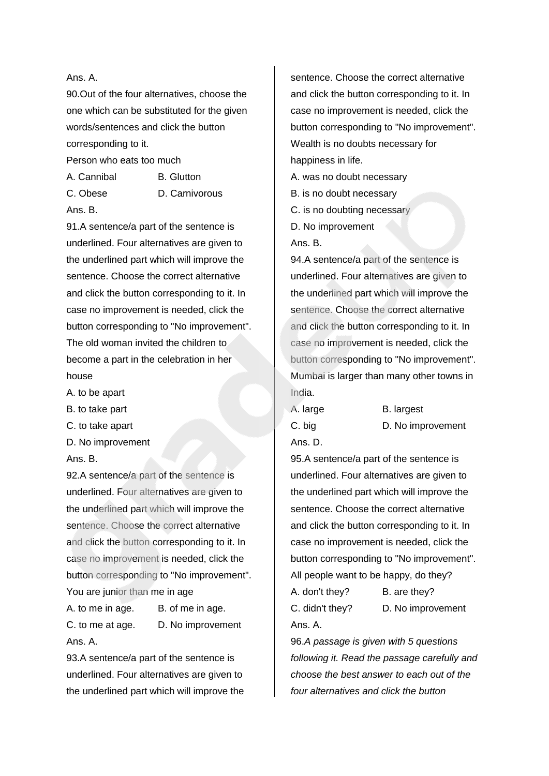#### Ans. A.

90.Out of the four alternatives, choose the one which can be substituted for the given words/sentences and click the button corresponding to it.

Person who eats too much

A. Cannibal B. Glutton

C. Obese D. Carnivorous

Ans. B.

91.A sentence/a part of the sentence is underlined. Four alternatives are given to the underlined part which will improve the sentence. Choose the correct alternative and click the button corresponding to it. In case no improvement is needed, click the button corresponding to "No improvement". The old woman invited the children to become a part in the celebration in her house

- A. to be apart
- B. to take part
- C. to take apart
- D. No improvement

Ans. B.

92.A sentence/a part of the sentence is underlined. Four alternatives are given to the underlined part which will improve the sentence. Choose the correct alternative and click the button corresponding to it. In case no improvement is needed, click the button corresponding to "No improvement". You are junior than me in age

A. to me in age. B. of me in age. C. to me at age. D. No improvement Ans. A.

93.A sentence/a part of the sentence is underlined. Four alternatives are given to the underlined part which will improve the sentence. Choose the correct alternative and click the button corresponding to it. In case no improvement is needed, click the button corresponding to "No improvement". Wealth is no doubts necessary for happiness in life.

A. was no doubt necessary B. is no doubt necessary

C. is no doubting necessary

D. No improvement

Ans. B.

94.A sentence/a part of the sentence is underlined. Four alternatives are given to the underlined part which will improve the sentence. Choose the correct alternative and click the button corresponding to it. In case no improvement is needed, click the button corresponding to "No improvement". Mumbai is larger than many other towns in India.

Ans. D.

A. large B. largest

C. big D. No improvement

95.A sentence/a part of the sentence is underlined. Four alternatives are given to the underlined part which will improve the sentence. Choose the correct alternative and click the button corresponding to it. In case no improvement is needed, click the button corresponding to "No improvement". All people want to be happy, do they?

A. don't they? B. are they?

C. didn't they? D. No improvement Ans. A.

96.*A passage is given with 5 questions following it. Read the passage carefully and choose the best answer to each out of the four alternatives and click the button*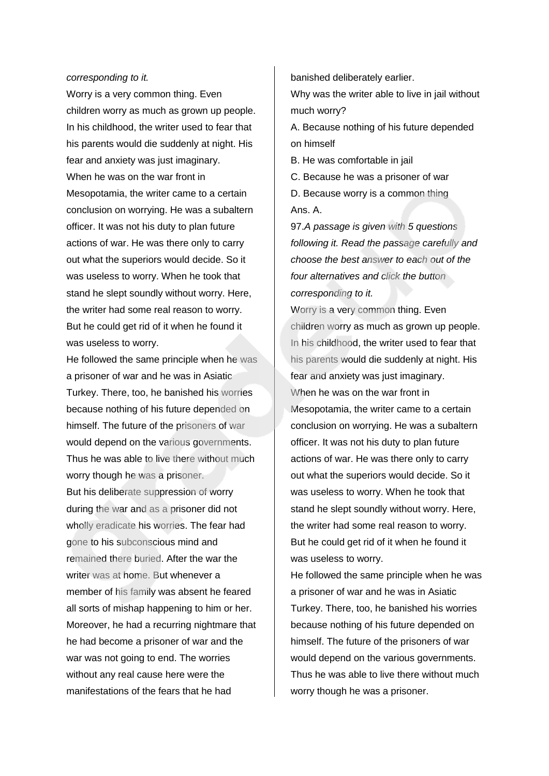#### *corresponding to it.*

Worry is a very common thing. Even children worry as much as grown up people. In his childhood, the writer used to fear that his parents would die suddenly at night. His fear and anxiety was just imaginary. When he was on the war front in Mesopotamia, the writer came to a certain conclusion on worrying. He was a subaltern officer. It was not his duty to plan future actions of war. He was there only to carry out what the superiors would decide. So it was useless to worry. When he took that stand he slept soundly without worry. Here, the writer had some real reason to worry. But he could get rid of it when he found it was useless to worry.

He followed the same principle when he was a prisoner of war and he was in Asiatic Turkey. There, too, he banished his worries because nothing of his future depended on himself. The future of the prisoners of war would depend on the various governments. Thus he was able to live there without much worry though he was a prisoner. But his deliberate suppression of worry during the war and as a prisoner did not wholly eradicate his worries. The fear had gone to his subconscious mind and remained there buried. After the war the writer was at home. But whenever a member of his family was absent he feared all sorts of mishap happening to him or her. Moreover, he had a recurring nightmare that he had become a prisoner of war and the war was not going to end. The worries without any real cause here were the manifestations of the fears that he had

banished deliberately earlier.

Why was the writer able to live in jail without much worry?

A. Because nothing of his future depended on himself

B. He was comfortable in jail

C. Because he was a prisoner of war D. Because worry is a common thing Ans. A.

97.*A passage is given with 5 questions following it. Read the passage carefully and choose the best answer to each out of the four alternatives and click the button corresponding to it.*

Worry is a very common thing. Even children worry as much as grown up people. In his childhood, the writer used to fear that his parents would die suddenly at night. His fear and anxiety was just imaginary. When he was on the war front in Mesopotamia, the writer came to a certain conclusion on worrying. He was a subaltern officer. It was not his duty to plan future actions of war. He was there only to carry out what the superiors would decide. So it was useless to worry. When he took that stand he slept soundly without worry. Here, the writer had some real reason to worry. But he could get rid of it when he found it was useless to worry.

He followed the same principle when he was a prisoner of war and he was in Asiatic Turkey. There, too, he banished his worries because nothing of his future depended on himself. The future of the prisoners of war would depend on the various governments. Thus he was able to live there without much worry though he was a prisoner.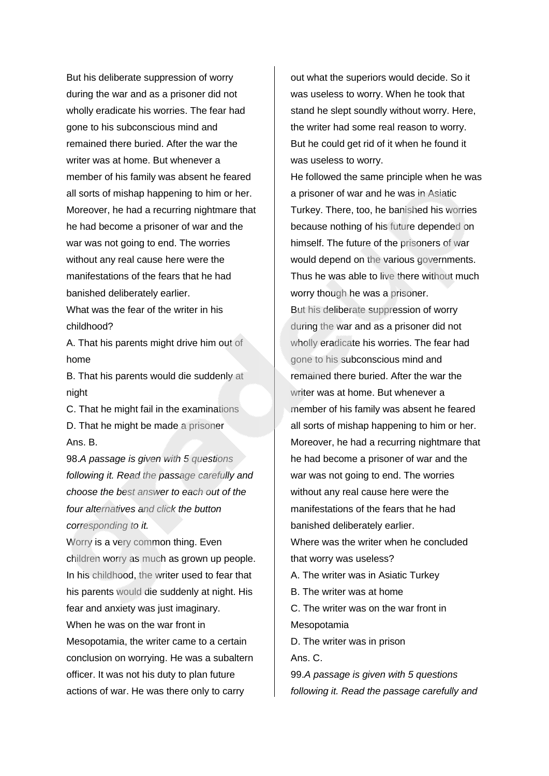But his deliberate suppression of worry during the war and as a prisoner did not wholly eradicate his worries. The fear had gone to his subconscious mind and remained there buried. After the war the writer was at home. But whenever a member of his family was absent he feared all sorts of mishap happening to him or her. Moreover, he had a recurring nightmare that he had become a prisoner of war and the war was not going to end. The worries without any real cause here were the manifestations of the fears that he had banished deliberately earlier.

What was the fear of the writer in his childhood?

A. That his parents might drive him out of home

B. That his parents would die suddenly at night

C. That he might fail in the examinations D. That he might be made a prisoner Ans. B.

98.*A passage is given with 5 questions following it. Read the passage carefully and choose the best answer to each out of the four alternatives and click the button corresponding to it.*

Worry is a very common thing. Even children worry as much as grown up people. In his childhood, the writer used to fear that his parents would die suddenly at night. His fear and anxiety was just imaginary.

When he was on the war front in Mesopotamia, the writer came to a certain conclusion on worrying. He was a subaltern officer. It was not his duty to plan future actions of war. He was there only to carry

out what the superiors would decide. So it was useless to worry. When he took that stand he slept soundly without worry. Here, the writer had some real reason to worry. But he could get rid of it when he found it was useless to worry.

He followed the same principle when he was a prisoner of war and he was in Asiatic Turkey. There, too, he banished his worries because nothing of his future depended on himself. The future of the prisoners of war would depend on the various governments. Thus he was able to live there without much worry though he was a prisoner. But his deliberate suppression of worry during the war and as a prisoner did not wholly eradicate his worries. The fear had gone to his subconscious mind and remained there buried. After the war the writer was at home. But whenever a member of his family was absent he feared all sorts of mishap happening to him or her. Moreover, he had a recurring nightmare that he had become a prisoner of war and the war was not going to end. The worries without any real cause here were the manifestations of the fears that he had banished deliberately earlier.

Where was the writer when he concluded that worry was useless?

A. The writer was in Asiatic Turkey

B. The writer was at home

C. The writer was on the war front in Mesopotamia

D. The writer was in prison Ans. C.

99.*A passage is given with 5 questions following it. Read the passage carefully and*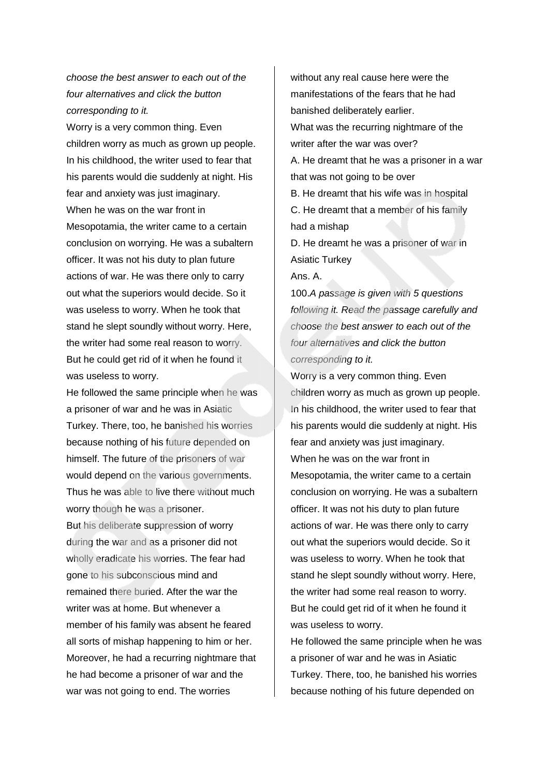# *choose the best answer to each out of the four alternatives and click the button corresponding to it.*

Worry is a very common thing. Even children worry as much as grown up people. In his childhood, the writer used to fear that his parents would die suddenly at night. His fear and anxiety was just imaginary. When he was on the war front in Mesopotamia, the writer came to a certain conclusion on worrying. He was a subaltern officer. It was not his duty to plan future actions of war. He was there only to carry out what the superiors would decide. So it was useless to worry. When he took that stand he slept soundly without worry. Here, the writer had some real reason to worry. But he could get rid of it when he found it was useless to worry.

He followed the same principle when he was a prisoner of war and he was in Asiatic Turkey. There, too, he banished his worries because nothing of his future depended on himself. The future of the prisoners of war would depend on the various governments. Thus he was able to live there without much worry though he was a prisoner. But his deliberate suppression of worry during the war and as a prisoner did not wholly eradicate his worries. The fear had gone to his subconscious mind and remained there buried. After the war the writer was at home. But whenever a member of his family was absent he feared all sorts of mishap happening to him or her. Moreover, he had a recurring nightmare that he had become a prisoner of war and the war was not going to end. The worries

without any real cause here were the manifestations of the fears that he had banished deliberately earlier. What was the recurring nightmare of the writer after the war was over? A. He dreamt that he was a prisoner in a war that was not going to be over B. He dreamt that his wife was in hospital C. He dreamt that a member of his family had a mishap D. He dreamt he was a prisoner of war in Asiatic Turkey Ans. A.

100.*A passage is given with 5 questions following it. Read the passage carefully and choose the best answer to each out of the four alternatives and click the button corresponding to it.*

Worry is a very common thing. Even children worry as much as grown up people. In his childhood, the writer used to fear that his parents would die suddenly at night. His fear and anxiety was just imaginary. When he was on the war front in Mesopotamia, the writer came to a certain conclusion on worrying. He was a subaltern officer. It was not his duty to plan future actions of war. He was there only to carry out what the superiors would decide. So it was useless to worry. When he took that stand he slept soundly without worry. Here, the writer had some real reason to worry. But he could get rid of it when he found it was useless to worry.

He followed the same principle when he was a prisoner of war and he was in Asiatic Turkey. There, too, he banished his worries because nothing of his future depended on